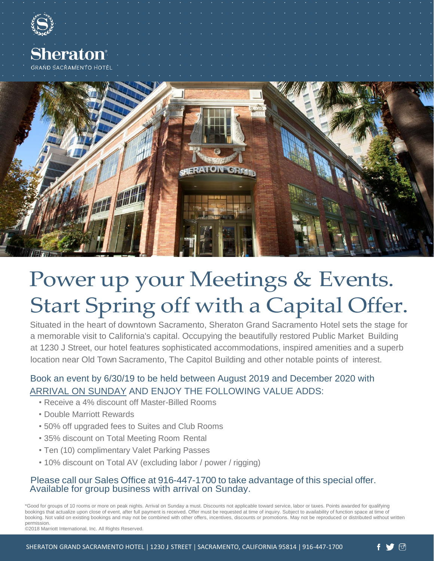





## Power up your Meetings & Events. Start Spring off with a Capital Offer.

Situated in the heart of downtown Sacramento, Sheraton Grand Sacramento Hotel sets the stage for a memorable visit to California's capital. Occupying the beautifully restored Public Market Building at 1230 J Street, our hotel features sophisticated accommodations, inspired amenities and a superb location near Old Town Sacramento, The Capitol Building and other notable points of interest.

### Book an event by 6/30/19 to be held between August 2019 and December 2020 with ARRIVAL ON SUNDAY AND ENJOY THE FOLLOWING VALUE ADDS:

- Receive a 4% discount off Master-Billed Rooms
- Double Marriott Rewards
- 50% off upgraded fees to Suites and Club Rooms
- 35% discount on Total Meeting Room Rental
- Ten (10) complimentary Valet Parking Passes
- 10% discount on Total AV (excluding labor / power / rigging)

#### Please call our Sales Office at 916-447-1700 to take advantage of this special offer. Available for group business with arrival on Sunday.

\*Good for groups of 10 rooms or more on peak nights. Arrival on Sunday a must. Discounts not applicable toward service, labor or taxes. Points awarded for qualifying bookings that actualize upon close of event, after full payment is received. Offer must be requested at time of inquiry. Subject to availability of function space at time of booking. Not valid on existing bookings and may not be combined with other offers, incentives, discounts or promotions. May not be reproduced or distributed without written permission.

©2018 Marriott International, Inc. All Rights Reserved.

ලු